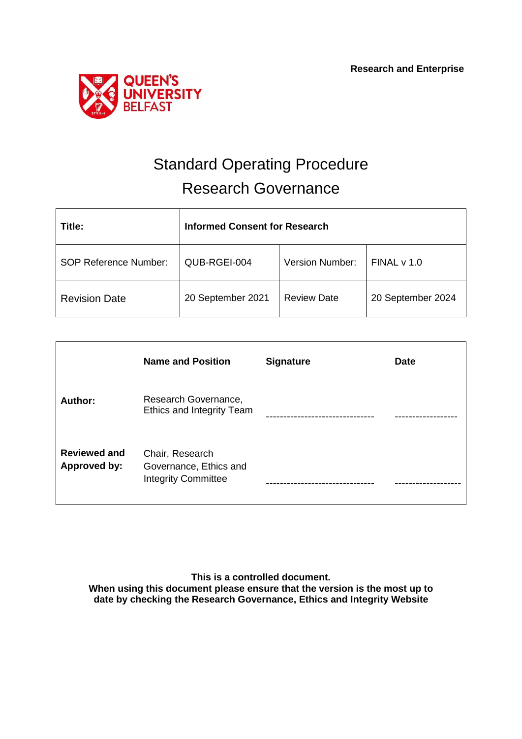

# Standard Operating Procedure Research Governance

| Title:                       | <b>Informed Consent for Research</b> |                        |                   |
|------------------------------|--------------------------------------|------------------------|-------------------|
| <b>SOP Reference Number:</b> | QUB-RGEI-004                         | <b>Version Number:</b> | FINAL v 1.0       |
| <b>Revision Date</b>         | 20 September 2021                    | <b>Review Date</b>     | 20 September 2024 |

|                                            | <b>Name and Position</b>                                                | <b>Signature</b> | <b>Date</b> |
|--------------------------------------------|-------------------------------------------------------------------------|------------------|-------------|
| Author:                                    | Research Governance,<br>Ethics and Integrity Team                       |                  |             |
| <b>Reviewed and</b><br><b>Approved by:</b> | Chair, Research<br>Governance, Ethics and<br><b>Integrity Committee</b> |                  |             |

**This is a controlled document. When using this document please ensure that the version is the most up to date by checking the Research Governance, Ethics and Integrity Website**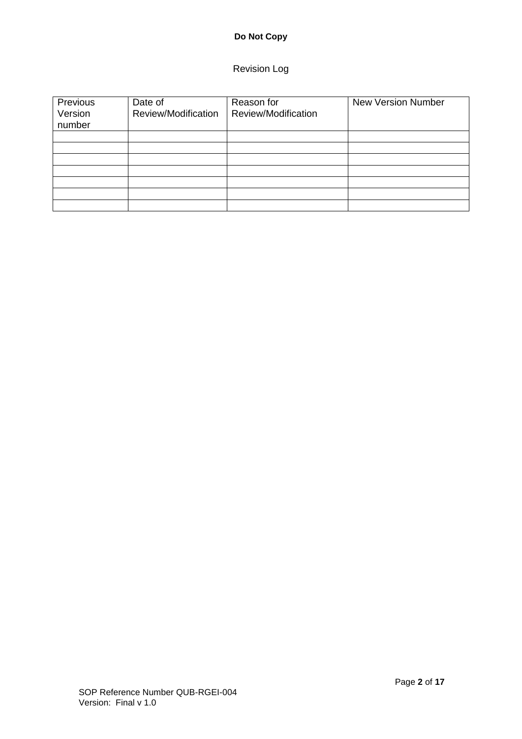## Revision Log

| Previous<br>Version<br>number | Date of<br>Review/Modification | Reason for<br>Review/Modification | <b>New Version Number</b> |
|-------------------------------|--------------------------------|-----------------------------------|---------------------------|
|                               |                                |                                   |                           |
|                               |                                |                                   |                           |
|                               |                                |                                   |                           |
|                               |                                |                                   |                           |
|                               |                                |                                   |                           |
|                               |                                |                                   |                           |
|                               |                                |                                   |                           |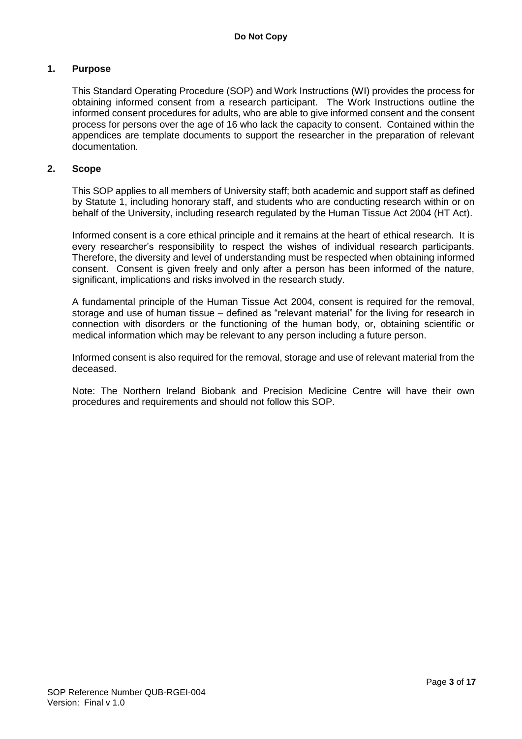#### **1. Purpose**

This Standard Operating Procedure (SOP) and Work Instructions (WI) provides the process for obtaining informed consent from a research participant. The Work Instructions outline the informed consent procedures for adults, who are able to give informed consent and the consent process for persons over the age of 16 who lack the capacity to consent. Contained within the appendices are template documents to support the researcher in the preparation of relevant documentation.

#### **2. Scope**

This SOP applies to all members of University staff; both academic and support staff as defined by Statute 1, including honorary staff, and students who are conducting research within or on behalf of the University, including research regulated by the Human Tissue Act 2004 (HT Act).

Informed consent is a core ethical principle and it remains at the heart of ethical research. It is every researcher's responsibility to respect the wishes of individual research participants. Therefore, the diversity and level of understanding must be respected when obtaining informed consent. Consent is given freely and only after a person has been informed of the nature, significant, implications and risks involved in the research study.

A fundamental principle of the Human Tissue Act 2004, consent is required for the removal, storage and use of human tissue – defined as "relevant material" for the living for research in connection with disorders or the functioning of the human body, or, obtaining scientific or medical information which may be relevant to any person including a future person.

Informed consent is also required for the removal, storage and use of relevant material from the deceased.

Note: The Northern Ireland Biobank and Precision Medicine Centre will have their own procedures and requirements and should not follow this SOP.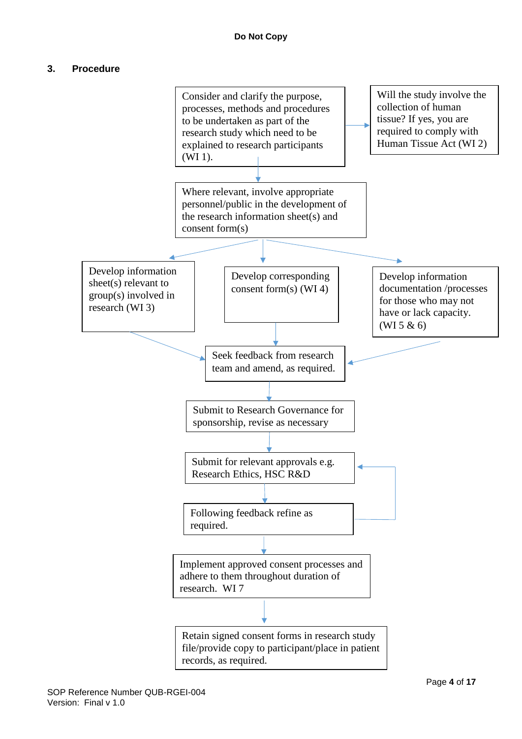## **3. Procedure**

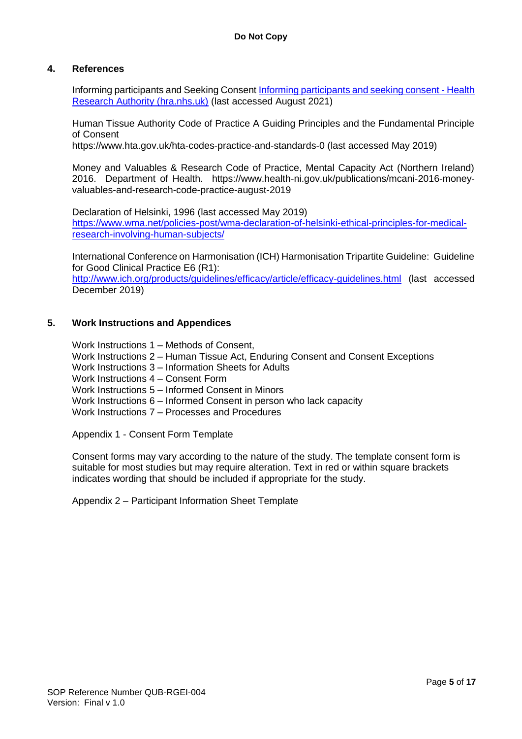#### **4. References**

Informing participants and Seeking Consent [Informing participants and seeking consent -](https://www.hra.nhs.uk/planning-and-improving-research/best-practice/informing-participants-and-seeking-consent/) Health [Research Authority \(hra.nhs.uk\)](https://www.hra.nhs.uk/planning-and-improving-research/best-practice/informing-participants-and-seeking-consent/) (last accessed August 2021)

Human Tissue Authority Code of Practice A Guiding Principles and the Fundamental Principle of Consent

https://www.hta.gov.uk/hta-codes-practice-and-standards-0 (last accessed May 2019)

Money and Valuables & Research Code of Practice, Mental Capacity Act (Northern Ireland) 2016. Department of Health. https://www.health-ni.gov.uk/publications/mcani-2016-moneyvaluables-and-research-code-practice-august-2019

Declaration of Helsinki, 1996 (last accessed May 2019) [https://www.wma.net/policies-post/wma-declaration-of-helsinki-ethical-principles-for-medical](https://www.wma.net/policies-post/wma-declaration-of-helsinki-ethical-principles-for-medical-research-involving-human-subjects/)[research-involving-human-subjects/](https://www.wma.net/policies-post/wma-declaration-of-helsinki-ethical-principles-for-medical-research-involving-human-subjects/)

International Conference on Harmonisation (ICH) Harmonisation Tripartite Guideline: Guideline for Good Clinical Practice E6 (R1):

<http://www.ich.org/products/guidelines/efficacy/article/efficacy-guidelines.html> (last accessed December 2019)

#### **5. Work Instructions and Appendices**

Work Instructions 1 – Methods of Consent,

- Work Instructions 2 Human Tissue Act, Enduring Consent and Consent Exceptions
- Work Instructions 3 Information Sheets for Adults
- Work Instructions 4 Consent Form
- Work Instructions 5 Informed Consent in Minors
- Work Instructions 6 Informed Consent in person who lack capacity
- Work Instructions 7 Processes and Procedures

Appendix 1 - Consent Form Template

Consent forms may vary according to the nature of the study. The template consent form is suitable for most studies but may require alteration. Text in red or within square brackets indicates wording that should be included if appropriate for the study.

Appendix 2 – Participant Information Sheet Template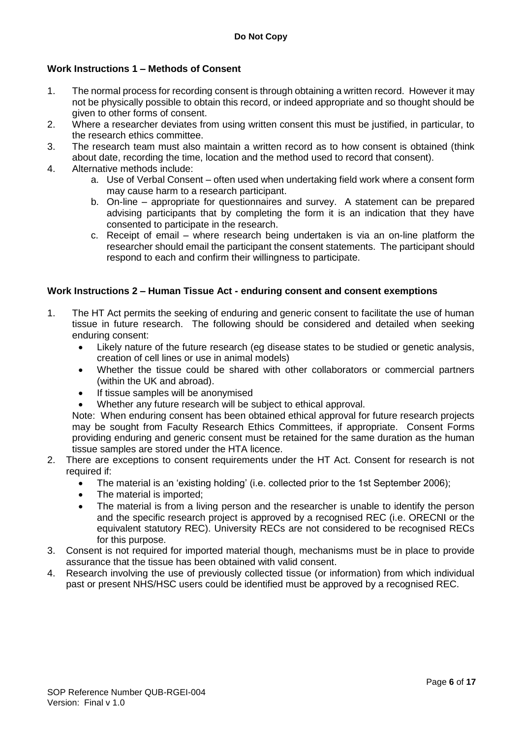## **Work Instructions 1 – Methods of Consent**

- 1. The normal process for recording consent is through obtaining a written record. However it may not be physically possible to obtain this record, or indeed appropriate and so thought should be given to other forms of consent.
- 2. Where a researcher deviates from using written consent this must be justified, in particular, to the research ethics committee.
- 3. The research team must also maintain a written record as to how consent is obtained (think about date, recording the time, location and the method used to record that consent).
- 4. Alternative methods include:
	- a. Use of Verbal Consent often used when undertaking field work where a consent form may cause harm to a research participant.
	- b. On-line appropriate for questionnaires and survey. A statement can be prepared advising participants that by completing the form it is an indication that they have consented to participate in the research.
	- c. Receipt of email where research being undertaken is via an on-line platform the researcher should email the participant the consent statements. The participant should respond to each and confirm their willingness to participate.

#### **Work Instructions 2 – Human Tissue Act - enduring consent and consent exemptions**

- 1. The HT Act permits the seeking of enduring and generic consent to facilitate the use of human tissue in future research. The following should be considered and detailed when seeking enduring consent:
	- Likely nature of the future research (eg disease states to be studied or genetic analysis, creation of cell lines or use in animal models)
	- Whether the tissue could be shared with other collaborators or commercial partners (within the UK and abroad).
	- If tissue samples will be anonymised
	- Whether any future research will be subject to ethical approval.

Note: When enduring consent has been obtained ethical approval for future research projects may be sought from Faculty Research Ethics Committees, if appropriate. Consent Forms providing enduring and generic consent must be retained for the same duration as the human tissue samples are stored under the HTA licence.

- 2. There are exceptions to consent requirements under the HT Act. Consent for research is not required if:
	- The material is an 'existing holding' (i.e. collected prior to the 1st September 2006);
	- The material is imported;
	- The material is from a living person and the researcher is unable to identify the person and the specific research project is approved by a recognised REC (i.e. ORECNI or the equivalent statutory REC). University RECs are not considered to be recognised RECs for this purpose.
- 3. Consent is not required for imported material though, mechanisms must be in place to provide assurance that the tissue has been obtained with valid consent.
- 4. Research involving the use of previously collected tissue (or information) from which individual past or present NHS/HSC users could be identified must be approved by a recognised REC.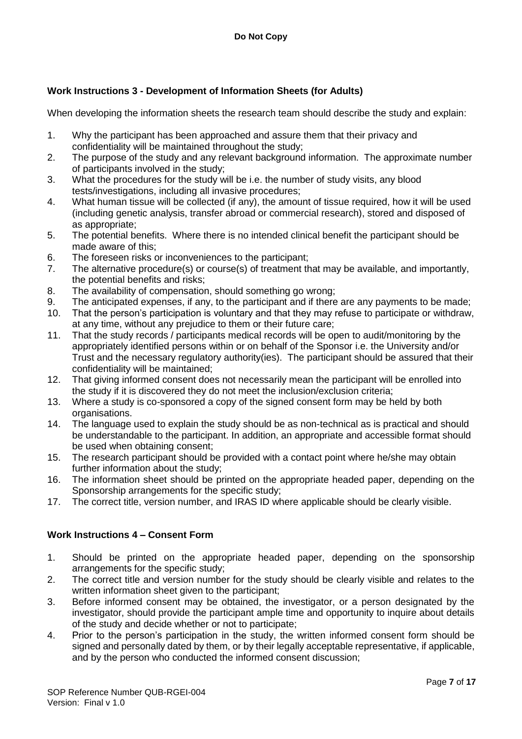## **Work Instructions 3 - Development of Information Sheets (for Adults)**

When developing the information sheets the research team should describe the study and explain:

- 1. Why the participant has been approached and assure them that their privacy and confidentiality will be maintained throughout the study;
- 2. The purpose of the study and any relevant background information. The approximate number of participants involved in the study;
- 3. What the procedures for the study will be i.e. the number of study visits, any blood tests/investigations, including all invasive procedures;
- 4. What human tissue will be collected (if any), the amount of tissue required, how it will be used (including genetic analysis, transfer abroad or commercial research), stored and disposed of as appropriate;
- 5. The potential benefits. Where there is no intended clinical benefit the participant should be made aware of this;
- 6. The foreseen risks or inconveniences to the participant;
- 7. The alternative procedure(s) or course(s) of treatment that may be available, and importantly, the potential benefits and risks;
- 8. The availability of compensation, should something go wrong;
- 9. The anticipated expenses, if any, to the participant and if there are any payments to be made;
- 10. That the person's participation is voluntary and that they may refuse to participate or withdraw, at any time, without any prejudice to them or their future care;
- 11. That the study records / participants medical records will be open to audit/monitoring by the appropriately identified persons within or on behalf of the Sponsor i.e. the University and/or Trust and the necessary regulatory authority(ies). The participant should be assured that their confidentiality will be maintained;
- 12. That giving informed consent does not necessarily mean the participant will be enrolled into the study if it is discovered they do not meet the inclusion/exclusion criteria;
- 13. Where a study is co-sponsored a copy of the signed consent form may be held by both organisations.
- 14. The language used to explain the study should be as non-technical as is practical and should be understandable to the participant. In addition, an appropriate and accessible format should be used when obtaining consent;
- 15. The research participant should be provided with a contact point where he/she may obtain further information about the study;
- 16. The information sheet should be printed on the appropriate headed paper, depending on the Sponsorship arrangements for the specific study;
- 17. The correct title, version number, and IRAS ID where applicable should be clearly visible.

## **Work Instructions 4 – Consent Form**

- 1. Should be printed on the appropriate headed paper, depending on the sponsorship arrangements for the specific study;
- 2. The correct title and version number for the study should be clearly visible and relates to the written information sheet given to the participant;
- 3. Before informed consent may be obtained, the investigator, or a person designated by the investigator, should provide the participant ample time and opportunity to inquire about details of the study and decide whether or not to participate;
- 4. Prior to the person's participation in the study, the written informed consent form should be signed and personally dated by them, or by their legally acceptable representative, if applicable, and by the person who conducted the informed consent discussion;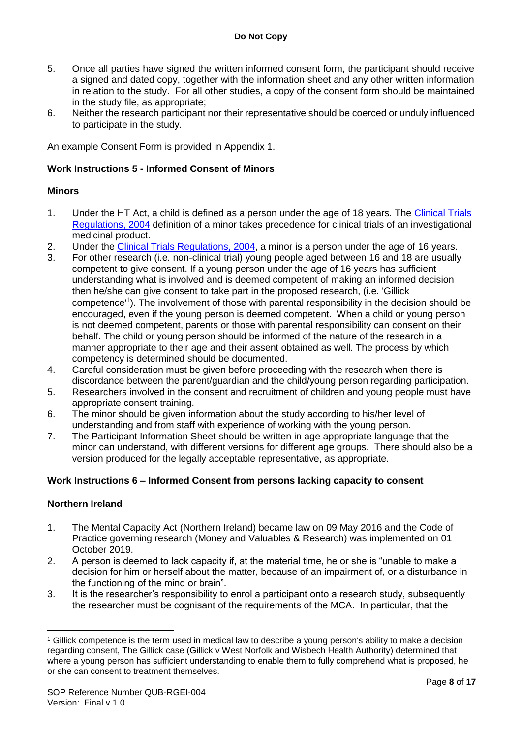- 5. Once all parties have signed the written informed consent form, the participant should receive a signed and dated copy, together with the information sheet and any other written information in relation to the study. For all other studies, a copy of the consent form should be maintained in the study file, as appropriate;
- 6. Neither the research participant nor their representative should be coerced or unduly influenced to participate in the study.

An example Consent Form is provided in Appendix 1.

## **Work Instructions 5 - Informed Consent of Minors**

## **Minors**

- 1. Under the HT Act, a child is defined as a person under the age of 18 years. The [Clinical Trials](http://www.opsi.gov.uk/si/si2004/20041031.htm)  [Regulations, 2004](http://www.opsi.gov.uk/si/si2004/20041031.htm) definition of a minor takes precedence for clinical trials of an investigational medicinal product.
- 2. Under the [Clinical Trials Regulations, 2004,](http://www.opsi.gov.uk/si/si2004/20041031.htm) a minor is a person under the age of 16 years.
- 3. For other research (i.e. non-clinical trial) young people aged between 16 and 18 are usually competent to give consent. If a young person under the age of 16 years has sufficient understanding what is involved and is deemed competent of making an informed decision then he/she can give consent to take part in the proposed research, (i.e. 'Gillick competence<sup>1</sup>). The involvement of those with parental responsibility in the decision should be encouraged, even if the young person is deemed competent. When a child or young person is not deemed competent, parents or those with parental responsibility can consent on their behalf. The child or young person should be informed of the nature of the research in a manner appropriate to their age and their assent obtained as well. The process by which competency is determined should be documented.
- 4. Careful consideration must be given before proceeding with the research when there is discordance between the parent/guardian and the child/young person regarding participation.
- 5. Researchers involved in the consent and recruitment of children and young people must have appropriate consent training.
- 6. The minor should be given information about the study according to his/her level of understanding and from staff with experience of working with the young person.
- 7. The Participant Information Sheet should be written in age appropriate language that the minor can understand, with different versions for different age groups. There should also be a version produced for the legally acceptable representative, as appropriate.

## **Work Instructions 6 – Informed Consent from persons lacking capacity to consent**

## **Northern Ireland**

- 1. The Mental Capacity Act (Northern Ireland) became law on 09 May 2016 and the Code of Practice governing research (Money and Valuables & Research) was implemented on 01 October 2019.
- 2. A person is deemed to lack capacity if, at the material time, he or she is "unable to make a decision for him or herself about the matter, because of an impairment of, or a disturbance in the functioning of the mind or brain".
- 3. It is the researcher's responsibility to enrol a participant onto a research study, subsequently the researcher must be cognisant of the requirements of the MCA. In particular, that the

<sup>&</sup>lt;u>.</u> <sup>1</sup> Gillick competence is the term used in medical law to describe a young person's ability to make a decision regarding consent, The Gillick case (Gillick v West Norfolk and Wisbech Health Authority) determined that where a young person has sufficient understanding to enable them to fully comprehend what is proposed, he or she can consent to treatment themselves.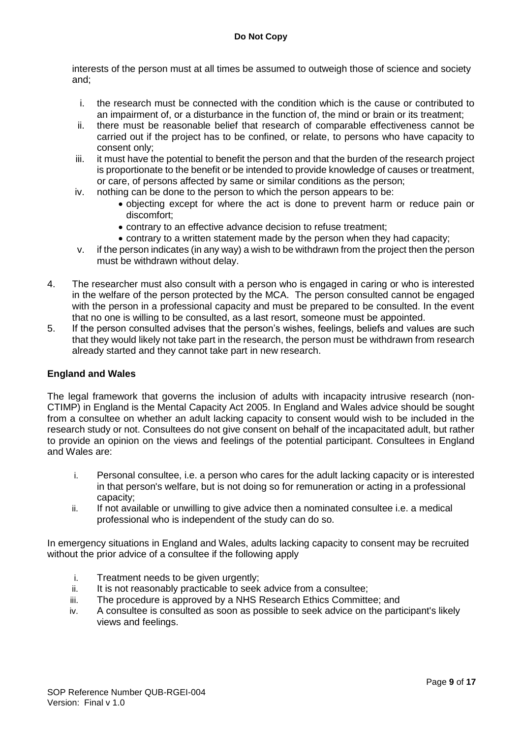interests of the person must at all times be assumed to outweigh those of science and society and;

- i. the research must be connected with the condition which is the cause or contributed to an impairment of, or a disturbance in the function of, the mind or brain or its treatment;
- ii. there must be reasonable belief that research of comparable effectiveness cannot be carried out if the project has to be confined, or relate, to persons who have capacity to consent only;
- iii. it must have the potential to benefit the person and that the burden of the research project is proportionate to the benefit or be intended to provide knowledge of causes or treatment, or care, of persons affected by same or similar conditions as the person;
- iv. nothing can be done to the person to which the person appears to be:
	- objecting except for where the act is done to prevent harm or reduce pain or discomfort;
	- contrary to an effective advance decision to refuse treatment;
	- contrary to a written statement made by the person when they had capacity;
- v. if the person indicates (in any way) a wish to be withdrawn from the project then the person must be withdrawn without delay.
- 4. The researcher must also consult with a person who is engaged in caring or who is interested in the welfare of the person protected by the MCA. The person consulted cannot be engaged with the person in a professional capacity and must be prepared to be consulted. In the event that no one is willing to be consulted, as a last resort, someone must be appointed.
- 5. If the person consulted advises that the person's wishes, feelings, beliefs and values are such that they would likely not take part in the research, the person must be withdrawn from research already started and they cannot take part in new research.

## **England and Wales**

The legal framework that governs the inclusion of adults with incapacity intrusive research (non-CTIMP) in England is the Mental Capacity Act 2005. In England and Wales advice should be sought from a consultee on whether an adult lacking capacity to consent would wish to be included in the research study or not. Consultees do not give consent on behalf of the incapacitated adult, but rather to provide an opinion on the views and feelings of the potential participant. Consultees in England and Wales are:

- i. Personal consultee, i.e. a person who cares for the adult lacking capacity or is interested in that person's welfare, but is not doing so for remuneration or acting in a professional capacity;
- ii. If not available or unwilling to give advice then a nominated consultee i.e. a medical professional who is independent of the study can do so.

In emergency situations in England and Wales, adults lacking capacity to consent may be recruited without the prior advice of a consultee if the following apply

- i. Treatment needs to be given urgently;
- ii. It is not reasonably practicable to seek advice from a consultee;
- iii. The procedure is approved by a NHS Research Ethics Committee; and
- iv. A consultee is consulted as soon as possible to seek advice on the participant's likely views and feelings.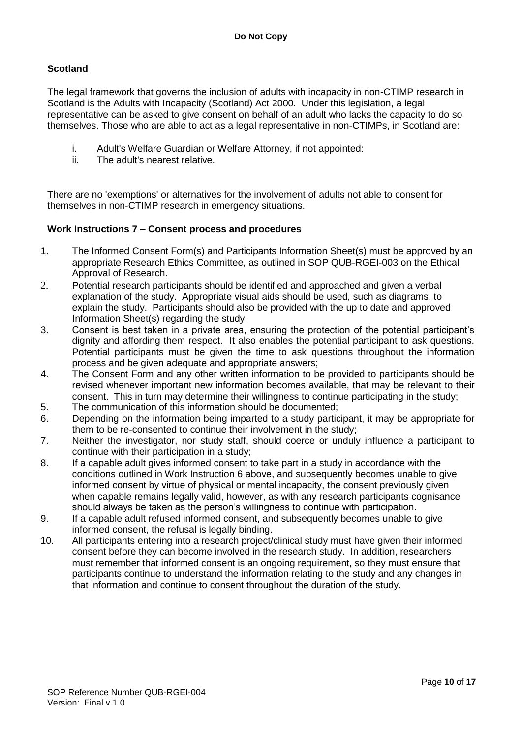## **Scotland**

The legal framework that governs the inclusion of adults with incapacity in non-CTIMP research in Scotland is the Adults with Incapacity (Scotland) Act 2000. Under this legislation, a legal representative can be asked to give consent on behalf of an adult who lacks the capacity to do so themselves. Those who are able to act as a legal representative in non-CTIMPs, in Scotland are:

- i. Adult's Welfare Guardian or Welfare Attorney, if not appointed:
- ii. The adult's nearest relative.

There are no 'exemptions' or alternatives for the involvement of adults not able to consent for themselves in non-CTIMP research in emergency situations.

## **Work Instructions 7 – Consent process and procedures**

- 1. The Informed Consent Form(s) and Participants Information Sheet(s) must be approved by an appropriate Research Ethics Committee, as outlined in SOP QUB-RGEI-003 on the Ethical Approval of Research.
- 2. Potential research participants should be identified and approached and given a verbal explanation of the study. Appropriate visual aids should be used, such as diagrams, to explain the study. Participants should also be provided with the up to date and approved Information Sheet(s) regarding the study;
- 3. Consent is best taken in a private area, ensuring the protection of the potential participant's dignity and affording them respect. It also enables the potential participant to ask questions. Potential participants must be given the time to ask questions throughout the information process and be given adequate and appropriate answers;
- 4. The Consent Form and any other written information to be provided to participants should be revised whenever important new information becomes available, that may be relevant to their consent. This in turn may determine their willingness to continue participating in the study;
- 5. The communication of this information should be documented;
- 6. Depending on the information being imparted to a study participant, it may be appropriate for them to be re-consented to continue their involvement in the study;
- 7. Neither the investigator, nor study staff, should coerce or unduly influence a participant to continue with their participation in a study;
- 8. If a capable adult gives informed consent to take part in a study in accordance with the conditions outlined in Work Instruction 6 above, and subsequently becomes unable to give informed consent by virtue of physical or mental incapacity, the consent previously given when capable remains legally valid, however, as with any research participants cognisance should always be taken as the person's willingness to continue with participation.
- 9. If a capable adult refused informed consent, and subsequently becomes unable to give informed consent, the refusal is legally binding.
- 10. All participants entering into a research project/clinical study must have given their informed consent before they can become involved in the research study. In addition, researchers must remember that informed consent is an ongoing requirement, so they must ensure that participants continue to understand the information relating to the study and any changes in that information and continue to consent throughout the duration of the study.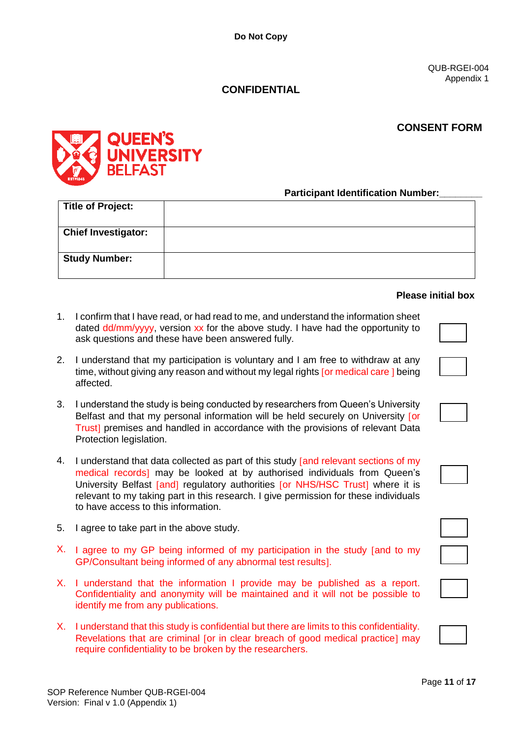QUB-RGEI-004 Appendix 1

## **CONFIDENTIAL**

## **CONSENT FORM**



**Participant Identification Number:** 

| <b>Title of Project:</b>   |  |
|----------------------------|--|
| <b>Chief Investigator:</b> |  |
| <b>Study Number:</b>       |  |

#### **Please initial box**

- 1. I confirm that I have read, or had read to me, and understand the information sheet dated dd/mm/yyyy, version xx for the above study. I have had the opportunity to ask questions and these have been answered fully.
- 2. I understand that my participation is voluntary and I am free to withdraw at any time, without giving any reason and without my legal rights for medical care I being affected.
- 3. I understand the study is being conducted by researchers from Queen's University Belfast and that my personal information will be held securely on University for Trust premises and handled in accordance with the provisions of relevant Data Protection legislation.
- 4. I understand that data collected as part of this study [and relevant sections of my medical records<sup>1</sup> may be looked at by authorised individuals from Queen's University Belfast [and] regulatory authorities [or NHS/HSC Trust] where it is relevant to my taking part in this research. I give permission for these individuals to have access to this information.
- 5. I agree to take part in the above study.
- X. I agree to my GP being informed of my participation in the study [and to my GP/Consultant being informed of any abnormal test results].
- X. I understand that the information I provide may be published as a report. Confidentiality and anonymity will be maintained and it will not be possible to identify me from any publications.
- X. I understand that this study is confidential but there are limits to this confidentiality. Revelations that are criminal [or in clear breach of good medical practice] may require confidentiality to be broken by the researchers.



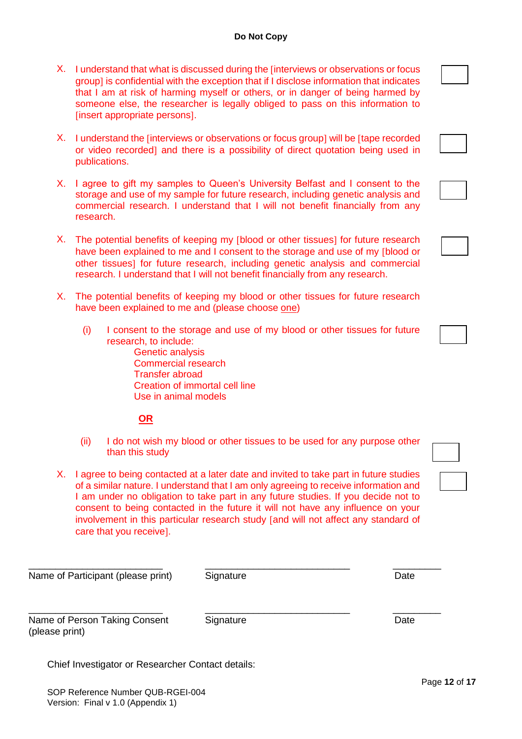- X. I understand that what is discussed during the finterviews or observations or focus group] is confidential with the exception that if I disclose information that indicates that I am at risk of harming myself or others, or in danger of being harmed by someone else, the researcher is legally obliged to pass on this information to *<u>Insert appropriate persons1</u>*.
- X. I understand the finterviews or observations or focus group] will be ftape recorded or video recorded and there is a possibility of direct quotation being used in publications.
- X. I agree to gift my samples to Queen's University Belfast and I consent to the storage and use of my sample for future research, including genetic analysis and commercial research. I understand that I will not benefit financially from any research.
- X. The potential benefits of keeping my [blood or other tissues] for future research have been explained to me and I consent to the storage and use of my [blood or other tissues] for future research, including genetic analysis and commercial research. I understand that I will not benefit financially from any research.
- X. The potential benefits of keeping my blood or other tissues for future research have been explained to me and (please choose one)
	- (i) I consent to the storage and use of my blood or other tissues for future research, to include:
		- Genetic analysis Commercial research Transfer abroad Creation of immortal cell line Use in animal models

## **OR**

- (ii) I do not wish my blood or other tissues to be used for any purpose other than this study
- X. I agree to being contacted at a later date and invited to take part in future studies of a similar nature. I understand that I am only agreeing to receive information and I am under no obligation to take part in any future studies. If you decide not to consent to being contacted in the future it will not have any influence on your involvement in this particular research study [and will not affect any standard of care that you receive].

| Name of Participant (please print)                | Signature | Date |
|---------------------------------------------------|-----------|------|
| Name of Person Taking Consent<br>(please print)   | Signature | Date |
| Chief Investigator or Researcher Contact details: |           |      |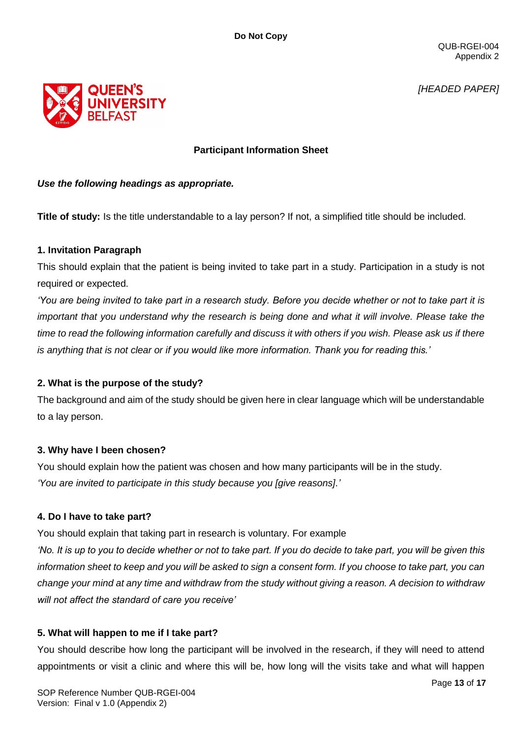QUB-RGEI-004 Appendix 2

*[HEADED PAPER]*



## **Participant Information Sheet**

## *Use the following headings as appropriate.*

**Title of study:** Is the title understandable to a lay person? If not, a simplified title should be included.

## **1. Invitation Paragraph**

This should explain that the patient is being invited to take part in a study. Participation in a study is not required or expected.

*'You are being invited to take part in a research study. Before you decide whether or not to take part it is important that you understand why the research is being done and what it will involve. Please take the time to read the following information carefully and discuss it with others if you wish. Please ask us if there is anything that is not clear or if you would like more information. Thank you for reading this.'*

## **2. What is the purpose of the study?**

The background and aim of the study should be given here in clear language which will be understandable to a lay person.

## **3. Why have I been chosen?**

You should explain how the patient was chosen and how many participants will be in the study. *'You are invited to participate in this study because you [give reasons].'*

## **4. Do I have to take part?**

You should explain that taking part in research is voluntary. For example

*'No. It is up to you to decide whether or not to take part. If you do decide to take part, you will be given this information sheet to keep and you will be asked to sign a consent form. If you choose to take part, you can change your mind at any time and withdraw from the study without giving a reason. A decision to withdraw will not affect the standard of care you receive'*

## **5. What will happen to me if I take part?**

You should describe how long the participant will be involved in the research, if they will need to attend appointments or visit a clinic and where this will be, how long will the visits take and what will happen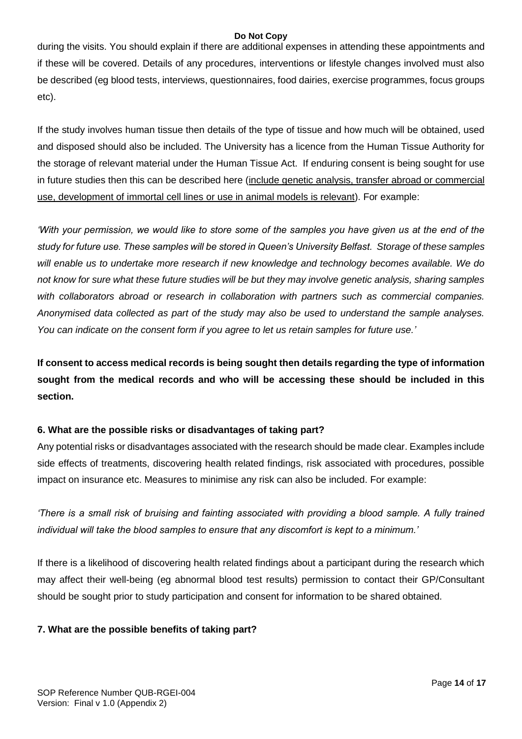during the visits. You should explain if there are additional expenses in attending these appointments and if these will be covered. Details of any procedures, interventions or lifestyle changes involved must also be described (eg blood tests, interviews, questionnaires, food dairies, exercise programmes, focus groups etc).

If the study involves human tissue then details of the type of tissue and how much will be obtained, used and disposed should also be included. The University has a licence from the Human Tissue Authority for the storage of relevant material under the Human Tissue Act. If enduring consent is being sought for use in future studies then this can be described here (include genetic analysis, transfer abroad or commercial use, development of immortal cell lines or use in animal models is relevant). For example:

*'With your permission, we would like to store some of the samples you have given us at the end of the study for future use. These samples will be stored in Queen's University Belfast. Storage of these samples*  will enable us to undertake more research if new knowledge and technology becomes available. We do *not know for sure what these future studies will be but they may involve genetic analysis, sharing samples with collaborators abroad or research in collaboration with partners such as commercial companies. Anonymised data collected as part of the study may also be used to understand the sample analyses. You can indicate on the consent form if you agree to let us retain samples for future use.'*

**If consent to access medical records is being sought then details regarding the type of information sought from the medical records and who will be accessing these should be included in this section.**

## **6. What are the possible risks or disadvantages of taking part?**

Any potential risks or disadvantages associated with the research should be made clear. Examples include side effects of treatments, discovering health related findings, risk associated with procedures, possible impact on insurance etc. Measures to minimise any risk can also be included. For example:

*'There is a small risk of bruising and fainting associated with providing a blood sample. A fully trained individual will take the blood samples to ensure that any discomfort is kept to a minimum.'* 

If there is a likelihood of discovering health related findings about a participant during the research which may affect their well-being (eg abnormal blood test results) permission to contact their GP/Consultant should be sought prior to study participation and consent for information to be shared obtained.

## **7. What are the possible benefits of taking part?**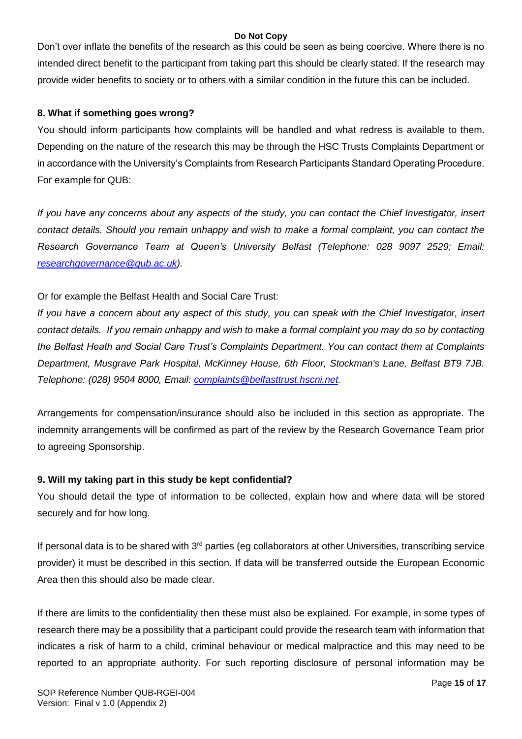Don't over inflate the benefits of the research as this could be seen as being coercive. Where there is no intended direct benefit to the participant from taking part this should be clearly stated. If the research may provide wider benefits to society or to others with a similar condition in the future this can be included.

## **8. What if something goes wrong?**

You should inform participants how complaints will be handled and what redress is available to them. Depending on the nature of the research this may be through the HSC Trusts Complaints Department or in accordance with the University's Complaints from Research Participants Standard Operating Procedure. For example for QUB:

*If you have any concerns about any aspects of the study, you can contact the Chief Investigator, insert contact details. Should you remain unhappy and wish to make a formal complaint, you can contact the Research Governance Team at Queen's University Belfast (Telephone: 028 9097 2529; Email: [researchgovernance@qub.ac.uk\)](mailto:researchgovernance@qub.ac.uk).*

## Or for example the Belfast Health and Social Care Trust:

*If you have a concern about any aspect of this study, you can speak with the Chief Investigator, insert contact details. If you remain unhappy and wish to make a formal complaint you may do so by contacting the Belfast Heath and Social Care Trust's Complaints Department. You can contact them at Complaints Department, Musgrave Park Hospital, McKinney House, 6th Floor, Stockman's Lane, Belfast BT9 7JB. Telephone: (028) 9504 8000, Email: [complaints@belfasttrust.hscni.net.](mailto:complaints@belfasttrust.hscni.net)*

Arrangements for compensation/insurance should also be included in this section as appropriate. The indemnity arrangements will be confirmed as part of the review by the Research Governance Team prior to agreeing Sponsorship.

## **9. Will my taking part in this study be kept confidential?**

You should detail the type of information to be collected, explain how and where data will be stored securely and for how long.

If personal data is to be shared with  $3<sup>rd</sup>$  parties (eg collaborators at other Universities, transcribing service provider) it must be described in this section. If data will be transferred outside the European Economic Area then this should also be made clear.

If there are limits to the confidentiality then these must also be explained. For example, in some types of research there may be a possibility that a participant could provide the research team with information that indicates a risk of harm to a child, criminal behaviour or medical malpractice and this may need to be reported to an appropriate authority. For such reporting disclosure of personal information may be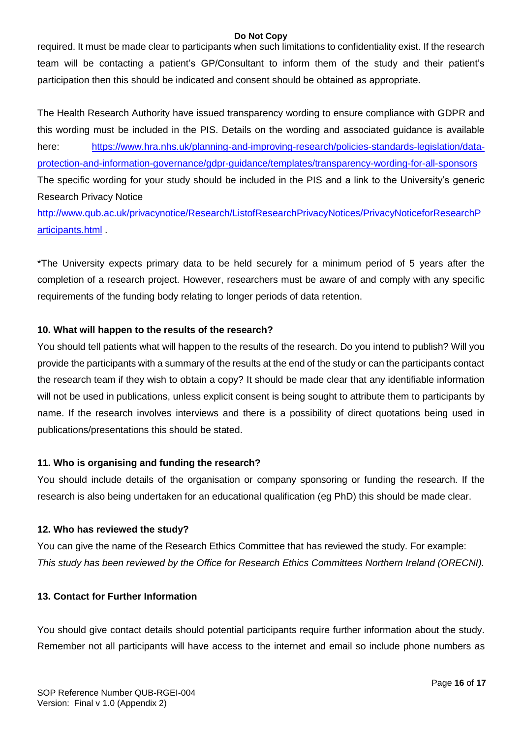required. It must be made clear to participants when such limitations to confidentiality exist. If the research team will be contacting a patient's GP/Consultant to inform them of the study and their patient's participation then this should be indicated and consent should be obtained as appropriate.

The Health Research Authority have issued transparency wording to ensure compliance with GDPR and this wording must be included in the PIS. Details on the wording and associated guidance is available here: [https://www.hra.nhs.uk/planning-and-improving-research/policies-standards-legislation/data](https://www.hra.nhs.uk/planning-and-improving-research/policies-standards-legislation/data-protection-and-information-governance/gdpr-guidance/templates/transparency-wording-for-all-sponsors)[protection-and-information-governance/gdpr-guidance/templates/transparency-wording-for-all-sponsors](https://www.hra.nhs.uk/planning-and-improving-research/policies-standards-legislation/data-protection-and-information-governance/gdpr-guidance/templates/transparency-wording-for-all-sponsors) The specific wording for your study should be included in the PIS and a link to the University's generic Research Privacy Notice

[http://www.qub.ac.uk/privacynotice/Research/ListofResearchPrivacyNotices/PrivacyNoticeforResearchP](http://www.qub.ac.uk/privacynotice/Research/ListofResearchPrivacyNotices/PrivacyNoticeforResearchParticipants.html) [articipants.html](http://www.qub.ac.uk/privacynotice/Research/ListofResearchPrivacyNotices/PrivacyNoticeforResearchParticipants.html) .

\*The University expects primary data to be held securely for a minimum period of 5 years after the completion of a research project. However, researchers must be aware of and comply with any specific requirements of the funding body relating to longer periods of data retention.

#### **10. What will happen to the results of the research?**

You should tell patients what will happen to the results of the research. Do you intend to publish? Will you provide the participants with a summary of the results at the end of the study or can the participants contact the research team if they wish to obtain a copy? It should be made clear that any identifiable information will not be used in publications, unless explicit consent is being sought to attribute them to participants by name. If the research involves interviews and there is a possibility of direct quotations being used in publications/presentations this should be stated.

#### **11. Who is organising and funding the research?**

You should include details of the organisation or company sponsoring or funding the research. If the research is also being undertaken for an educational qualification (eg PhD) this should be made clear.

#### **12. Who has reviewed the study?**

You can give the name of the Research Ethics Committee that has reviewed the study. For example: *This study has been reviewed by the Office for Research Ethics Committees Northern Ireland (ORECNI).* 

## **13. Contact for Further Information**

You should give contact details should potential participants require further information about the study. Remember not all participants will have access to the internet and email so include phone numbers as